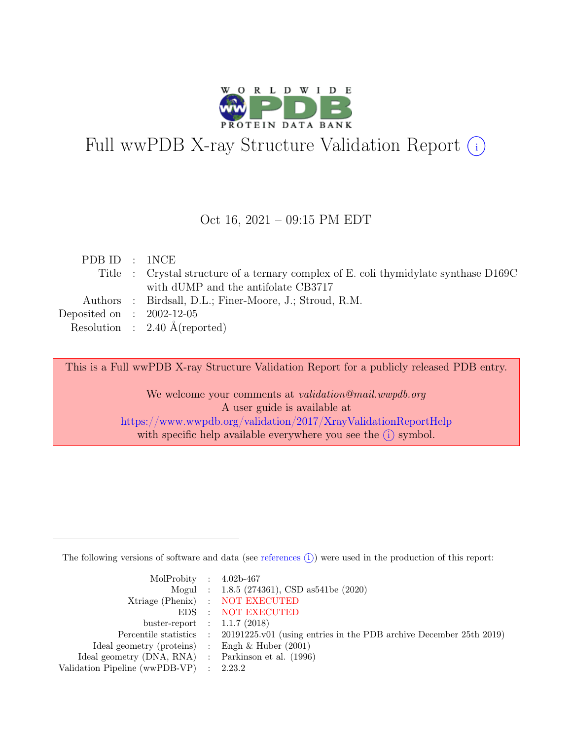

# Full wwPDB X-ray Structure Validation Report  $\bigcirc$

#### Oct 16, 2021 – 09:15 PM EDT

| PDB ID : 1NCE               |                                                                                      |
|-----------------------------|--------------------------------------------------------------------------------------|
|                             | Title : Crystal structure of a ternary complex of E. coli thymidylate synthase D169C |
|                             | with dUMP and the antifolate CB3717                                                  |
|                             | Authors : Birdsall, D.L.; Finer-Moore, J.; Stroud, R.M.                              |
| Deposited on : $2002-12-05$ |                                                                                      |
|                             | Resolution : $2.40 \text{ Å}$ (reported)                                             |

This is a Full wwPDB X-ray Structure Validation Report for a publicly released PDB entry.

We welcome your comments at *validation@mail.wwpdb.org* A user guide is available at <https://www.wwpdb.org/validation/2017/XrayValidationReportHelp> with specific help available everywhere you see the  $(i)$  symbol.

The following versions of software and data (see [references](https://www.wwpdb.org/validation/2017/XrayValidationReportHelp#references)  $(i)$ ) were used in the production of this report:

| MolProbity : $4.02b-467$                            |                                                                                            |
|-----------------------------------------------------|--------------------------------------------------------------------------------------------|
|                                                     | Mogul : $1.8.5$ (274361), CSD as 541be (2020)                                              |
|                                                     | Xtriage (Phenix) : NOT EXECUTED                                                            |
|                                                     | EDS : NOT EXECUTED                                                                         |
| buster-report : $1.1.7$ (2018)                      |                                                                                            |
|                                                     | Percentile statistics : 20191225.v01 (using entries in the PDB archive December 25th 2019) |
| Ideal geometry (proteins) : Engh $\&$ Huber (2001)  |                                                                                            |
| Ideal geometry (DNA, RNA) : Parkinson et al. (1996) |                                                                                            |
| Validation Pipeline (wwPDB-VP) : $2.23.2$           |                                                                                            |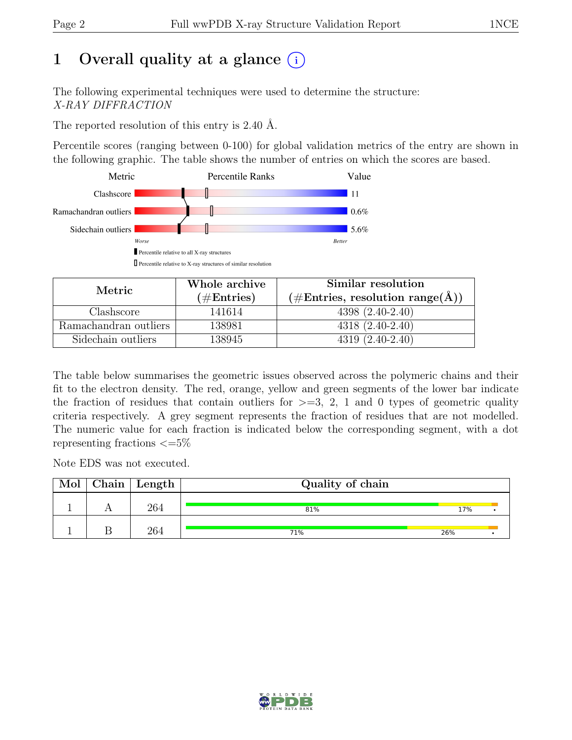## 1 Overall quality at a glance  $(i)$

The following experimental techniques were used to determine the structure: X-RAY DIFFRACTION

The reported resolution of this entry is 2.40 Å.

Percentile scores (ranging between 0-100) for global validation metrics of the entry are shown in the following graphic. The table shows the number of entries on which the scores are based.



| Metric.               | Whole archive        | Similar resolution                                                 |
|-----------------------|----------------------|--------------------------------------------------------------------|
|                       | $(\#\text{Entries})$ | $(\#\text{Entries}, \text{ resolution range}(\text{\AA})^{\circ})$ |
| Clashscore            | 141614               | $4398(2.40-2.40)$                                                  |
| Ramachandran outliers | 138981               | $4318(2.40-2.40)$                                                  |
| Sidechain outliers    | 138945               | $4319(2.40-2.40)$                                                  |

The table below summarises the geometric issues observed across the polymeric chains and their fit to the electron density. The red, orange, yellow and green segments of the lower bar indicate the fraction of residues that contain outliers for  $\geq$ =3, 2, 1 and 0 types of geometric quality criteria respectively. A grey segment represents the fraction of residues that are not modelled. The numeric value for each fraction is indicated below the corresponding segment, with a dot representing fractions  $\epsilon = 5\%$ 

Note EDS was not executed.

| Mol | $\Box$ Chain   Length $\Box$ | Quality of chain |     |  |
|-----|------------------------------|------------------|-----|--|
|     | 264                          | 81%              | 17% |  |
|     | 264                          | 71%              | 26% |  |

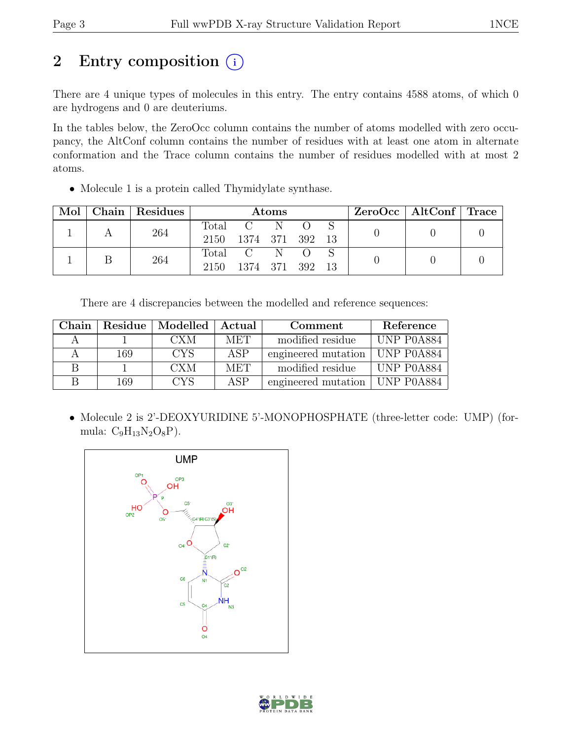# 2 Entry composition  $(i)$

There are 4 unique types of molecules in this entry. The entry contains 4588 atoms, of which 0 are hydrogens and 0 are deuteriums.

In the tables below, the ZeroOcc column contains the number of atoms modelled with zero occupancy, the AltConf column contains the number of residues with at least one atom in alternate conformation and the Trace column contains the number of residues modelled with at most 2 atoms.

• Molecule 1 is a protein called Thymidylate synthase.

| Mol | Chain Residues |                        |                          | Atoms |  | $ZeroOcc \mid AltConf \mid Trace \mid$ |  |
|-----|----------------|------------------------|--------------------------|-------|--|----------------------------------------|--|
|     | 264            | Total<br>2150          | $C-N$<br>1374 371 392 13 |       |  |                                        |  |
|     | 264            | $\text{Total}$<br>2150 | $C-N$<br>1374 371 392    |       |  |                                        |  |

There are 4 discrepancies between the modelled and reference sequences:

| Chain |     | Residue   Modelled | - Actual   | Comment             | Reference  |
|-------|-----|--------------------|------------|---------------------|------------|
|       |     | <b>CXM</b>         | <b>MET</b> | modified residue    | UNP P0A884 |
|       | 169 | <b>CYS</b>         | <b>ASP</b> | engineered mutation | UNP P0A884 |
|       |     | CXM                | <b>MET</b> | modified residue    | UNP P0A884 |
|       | 169 | <b>CYS</b>         | ASP        | engineered mutation | UNP P0A884 |

• Molecule 2 is 2'-DEOXYURIDINE 5'-MONOPHOSPHATE (three-letter code: UMP) (formula:  $C_9H_{13}N_2O_8P$ ).



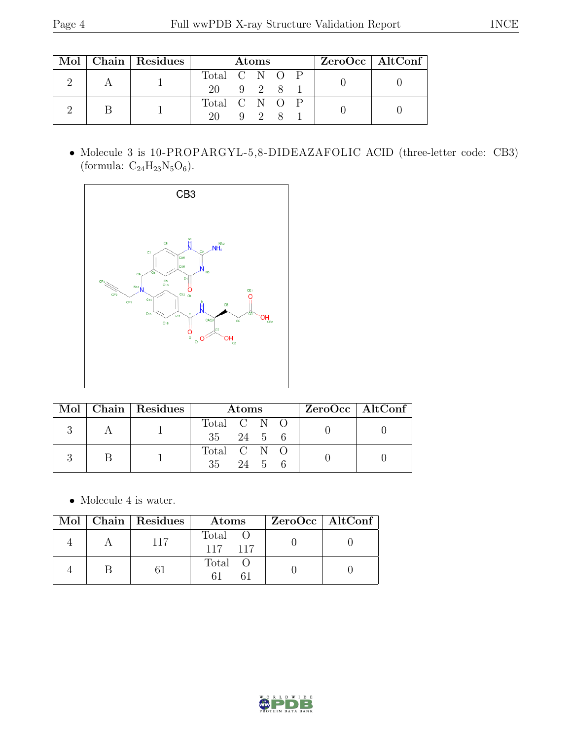|  | Mol   Chain   Residues | <b>Atoms</b>  |  |             |  |  | $ZeroOcc \   \$ AltConf |  |
|--|------------------------|---------------|--|-------------|--|--|-------------------------|--|
|  |                        | Total C N O P |  |             |  |  |                         |  |
|  |                        | 20 9 2 8 1    |  |             |  |  |                         |  |
|  |                        | Total C N O P |  |             |  |  |                         |  |
|  |                        | $20 -$        |  | $9 \quad 2$ |  |  |                         |  |

• Molecule 3 is 10-PROPARGYL-5,8-DIDEAZAFOLIC ACID (three-letter code: CB3) (formula:  $\mathrm{C}_{24}\mathrm{H}_{23}\mathrm{N}_{5}\mathrm{O}_6).$ 



|  | Mol   Chain   Residues | Atoms                |  |  |  | $ZeroOcc \   \$ AltConf |  |
|--|------------------------|----------------------|--|--|--|-------------------------|--|
|  |                        | Total C N O          |  |  |  |                         |  |
|  |                        | $35 \t 24 \t 5 \t 6$ |  |  |  |                         |  |
|  |                        | Total C N O          |  |  |  |                         |  |
|  |                        | $35 \t 24 \t 5 \t 6$ |  |  |  |                         |  |

 $\bullet\,$  Molecule 4 is water.

|  | Mol   Chain   Residues | Atoms            | $ZeroOcc \   \$ AltConf |
|--|------------------------|------------------|-------------------------|
|  | 117                    | Total<br>117 117 |                         |
|  |                        | Total O          |                         |

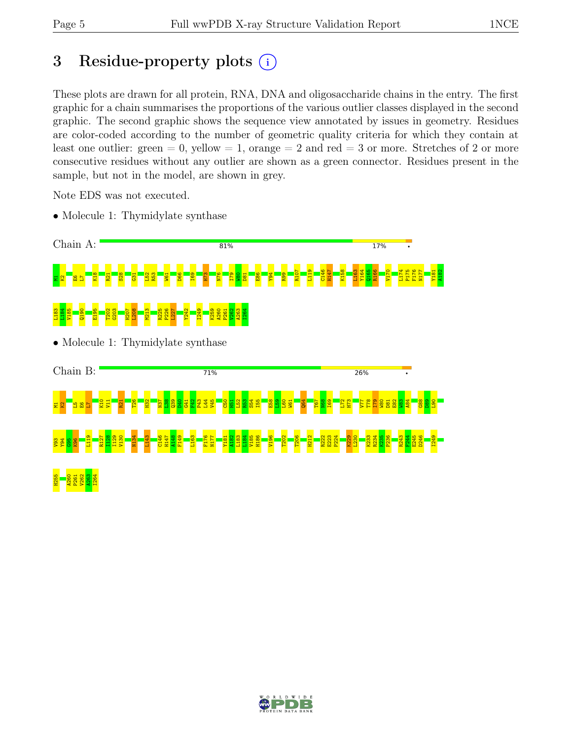# 3 Residue-property plots  $(i)$

These plots are drawn for all protein, RNA, DNA and oligosaccharide chains in the entry. The first graphic for a chain summarises the proportions of the various outlier classes displayed in the second graphic. The second graphic shows the sequence view annotated by issues in geometry. Residues are color-coded according to the number of geometric quality criteria for which they contain at least one outlier: green  $= 0$ , yellow  $= 1$ , orange  $= 2$  and red  $= 3$  or more. Stretches of 2 or more consecutive residues without any outlier are shown as a green connector. Residues present in the sample, but not in the model, are shown in grey.

Note EDS was not executed.

• Molecule 1: Thymidylate synthase





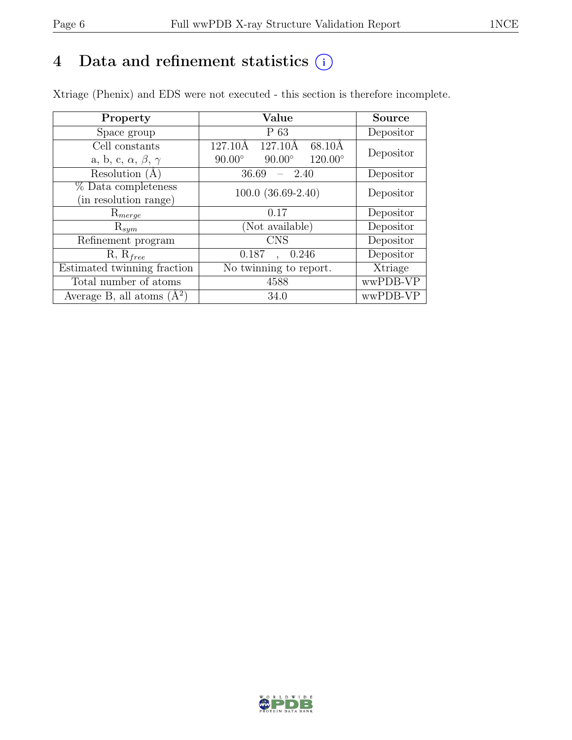## 4 Data and refinement statistics  $(i)$

Xtriage (Phenix) and EDS were not executed - this section is therefore incomplete.

| Property                               | Value                                              | <b>Source</b> |  |
|----------------------------------------|----------------------------------------------------|---------------|--|
| Space group                            | $P_63$                                             | Depositor     |  |
| Cell constants                         | $127.10\text{\AA}$<br>127.10Å<br>68.10Å            | Depositor     |  |
| a, b, c, $\alpha$ , $\beta$ , $\gamma$ | $120.00^{\circ}$<br>$90.00^\circ$<br>$90.00^\circ$ |               |  |
| Resolution (A)                         | 36.69<br>- 2.40                                    | Depositor     |  |
| % Data completeness                    | $100.0$ $(36.69-2.40)$                             | Depositor     |  |
| (in resolution range)                  |                                                    |               |  |
| $\mathrm{R}_{merge}$                   | 0.17                                               | Depositor     |  |
| $\mathrm{R}_{sym}$                     | (Not available)                                    | Depositor     |  |
| Refinement program                     | <b>CNS</b>                                         | Depositor     |  |
| $R, R_{free}$                          | 0.187<br>0.246                                     | Depositor     |  |
| Estimated twinning fraction            | No twinning to report.                             | Xtriage       |  |
| Total number of atoms                  | 4588                                               | wwPDB-VP      |  |
| Average B, all atoms $(A^2)$           | 34.0                                               | wwPDB-VP      |  |

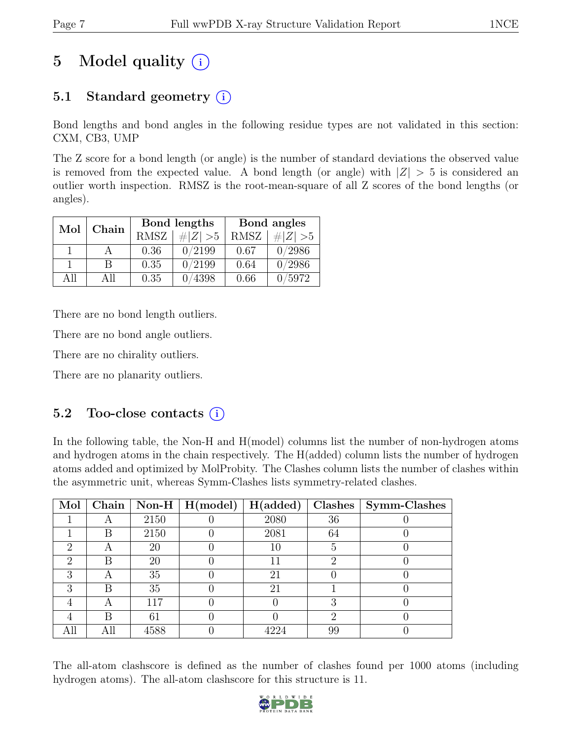# 5 Model quality  $(i)$

## 5.1 Standard geometry  $(i)$

Bond lengths and bond angles in the following residue types are not validated in this section: CXM, CB3, UMP

The Z score for a bond length (or angle) is the number of standard deviations the observed value is removed from the expected value. A bond length (or angle) with  $|Z| > 5$  is considered an outlier worth inspection. RMSZ is the root-mean-square of all Z scores of the bond lengths (or angles).

| Mol  | Chain |             | Bond lengths | Bond angles |             |  |
|------|-------|-------------|--------------|-------------|-------------|--|
|      |       | <b>RMSZ</b> | $\# Z  > 5$  | <b>RMSZ</b> | # $ Z  > 5$ |  |
|      |       | 0.36        | 0/2199       | 0.67        | 0/2986      |  |
|      | B     | 0.35        | 0/2199       | 0.64        | 0/2986      |  |
| A 11 | All   | 0.35        | 4398         | 0.66        | /5972       |  |

There are no bond length outliers.

There are no bond angle outliers.

There are no chirality outliers.

There are no planarity outliers.

### 5.2 Too-close contacts  $(i)$

In the following table, the Non-H and H(model) columns list the number of non-hydrogen atoms and hydrogen atoms in the chain respectively. The H(added) column lists the number of hydrogen atoms added and optimized by MolProbity. The Clashes column lists the number of clashes within the asymmetric unit, whereas Symm-Clashes lists symmetry-related clashes.

| Mol                         | Chain |      | Non-H $\mid$ H(model) | H(added) | Clashes | Symm-Clashes |
|-----------------------------|-------|------|-----------------------|----------|---------|--------------|
|                             |       | 2150 |                       | 2080     | 36      |              |
|                             | В     | 2150 |                       | 2081     | 64      |              |
| 2                           | A     | 20   |                       | 10       | 5       |              |
| $\mathcal{D}_{\mathcal{L}}$ | B     | 20   |                       |          | റ       |              |
| 3                           | А     | 35   |                       | 21       |         |              |
| 3                           | В     | 35   |                       | 21       |         |              |
|                             |       | 117  |                       |          |         |              |
|                             | B     | 61   |                       |          | റ       |              |
| All                         | All   | 4588 |                       |          | 99      |              |

The all-atom clashscore is defined as the number of clashes found per 1000 atoms (including hydrogen atoms). The all-atom clashscore for this structure is 11.

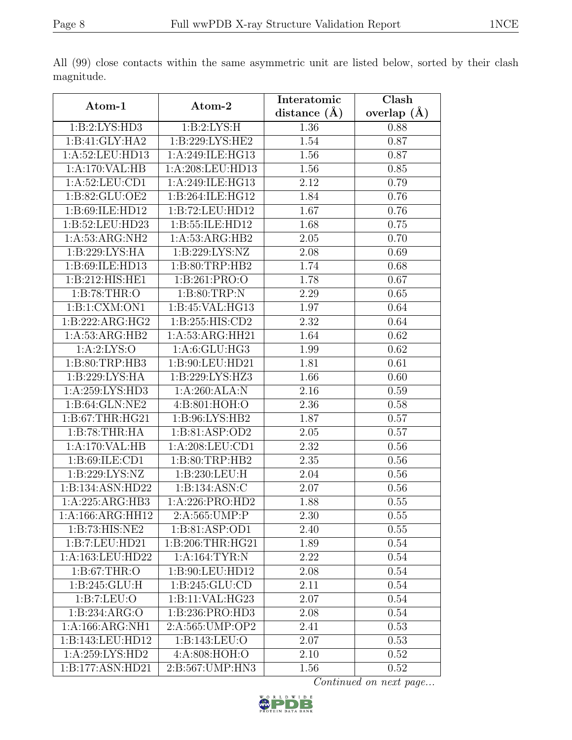|                               |                    | Interatomic       | Clash         |
|-------------------------------|--------------------|-------------------|---------------|
| Atom-1                        | Atom-2             | distance $(\AA)$  | overlap $(A)$ |
| 1:B:2:LYS:HD3                 | 1: B:2: LYS:H      | 1.36              | 0.88          |
| 1:B:41:GLY:HA2                | 1:B:229:LYS:HE2    | 1.54              | 0.87          |
| 1: A:52:LEU:HD13              | 1:A:249:ILE:HG13   | 1.56              | 0.87          |
| 1:A:170:VAL:HB                | 1:A:208:LEU:HD13   | 1.56              | 0.85          |
| 1:A:52:LEU:CD1                | 1:A:249:ILE:HG13   | 2.12              | 0.79          |
| 1:B:82:GLU:OE2                | 1:B:264:ILE:HG12   | 1.84              | 0.76          |
| 1:B:69:ILE:HD12               | 1:B:72:LEU:HD12    | 1.67              | 0.76          |
| 1:B:52:LEU:HD23               | 1:B:55:ILE:HD12    | 1.68              | 0.75          |
| 1:A:53:ARG:NH2                | 1:A:53:ARG:HB2     | 2.05              | 0.70          |
| 1:B:229:LYS:HA                | 1:B:229:LYS:NZ     | 2.08              | 0.69          |
| 1:B:69:ILE:HD13               | 1: B: 80: TRP: HB2 | 1.74              | 0.68          |
| 1:B:212:HIS:HE1               | 1:B:261:PRO:O      | 1.78              | 0.67          |
| 1:B:78:THR:O                  | 1: B:80:TRP:N      | 2.29              | 0.65          |
| 1:B:1:CXM:ON1                 | 1:B:45:VAL:HG13    | 1.97              | 0.64          |
| 1:B:222:ARG:HG2               | 1:B:255:HIS:CD2    | 2.32              | 0.64          |
| 1: A: 53: ARG: HB2            | 1:A:53:ARG:HH21    | 1.64              | 0.62          |
| 1: A:2: LYS:O                 | 1:A:6:GLU:HG3      | 1.99              | 0.62          |
| 1:B:80:TRP:HB3                | 1:B:90:LEU:HD21    | 1.81              | 0.61          |
| 1:B:229:LYS:HA                | 1:B:229:LYS:HZ3    | 1.66              | 0.60          |
| 1: A:259: LYS: HD3            | 1:A:260:ALA:N      | 2.16              | 0.59          |
| 1:B:64:GLN:NE2                | 4:B:801:HOH:O      | 2.36              | 0.58          |
| 1: B:67:THR:HG21              | 1:B:96:LYS:HB2     | 1.87              | 0.57          |
| 1:B:78:THR:HA                 | 1:B:81:ASP:OD2     | 2.05              | 0.57          |
| 1:A:170:VAL:HB                | 1: A:208:LEU:CD1   | 2.32              | 0.56          |
| 1:B:69:ILE:CD1                | 1: B: 80: TRP: HB2 | 2.35              | 0.56          |
| 1:B:229:LYS:NZ                | 1:B:230:LEU:H      | 2.04              | 0.56          |
| 1:B:134:ASN:HD22              | 1:B:134:ASN:C      | 2.07              | 0.56          |
| 1:A:225:ARG:HB3               | 1:A:226:PRO:HD2    | 1.88              | 0.55          |
| $1:A:166:A\overline{RG:HH12}$ | 2:A:565: UMP: P    | 2.30              | 0.55          |
| 1:B:73:HIS:NE2                | 1:B:81:ASP:OD1     | 2.40              | 0.55          |
| 1:B:7:LEU:HD21                | 1:B:206:THR:HG21   | 1.89              | 0.54          |
| 1:A:163:LEU:HD22              | 1:A:164:TYR:N      | 2.22              | 0.54          |
| 1: B:67:THR:O                 | 1:B:90:LEU:HD12    | 2.08              | 0.54          |
| 1: B:245: GLU: H              | 1: B: 245: GLU: CD | 2.11              | 0.54          |
| 1:B:7:LEU:O                   | 1:B:11:VAL:HG23    | 2.07              | 0.54          |
| 1:B:234:ARG:O                 | 1:B:236:PRO:HD3    | 2.08              | 0.54          |
| 1:A:166:ARG:NH1               | 2:A:565:UMP:OP2    | 2.41              | 0.53          |
| 1:B:143:LEU:HD12              | 1:B:143:LEU:O      | $2.\overline{07}$ | 0.53          |
| 1:A:259:LYS:HD2               | 4:A:808:HOH:O      | 2.10              | 0.52          |
| 1:B:177:ASN:HD21              | 2:B:567:UMP:HN3    | 1.56              | 0.52          |

All (99) close contacts within the same asymmetric unit are listed below, sorted by their clash magnitude.

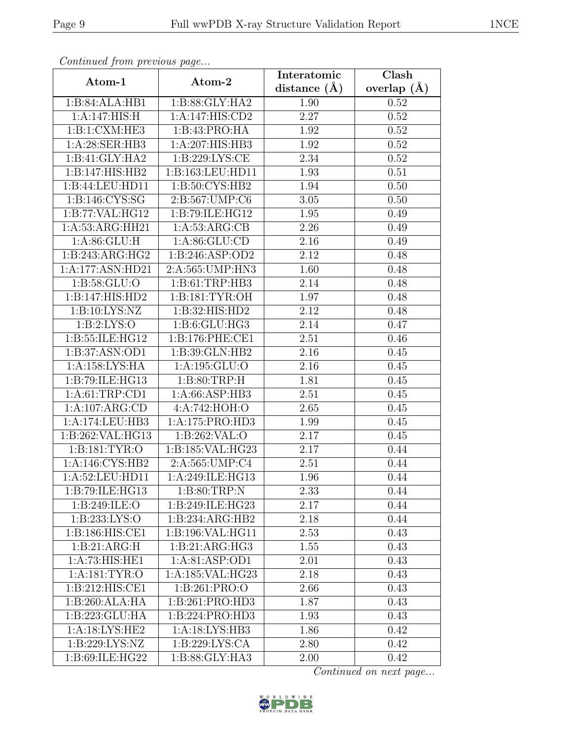| Continueu from pretious page  |                             | Interatomic       | $\overline{\text{Clash}}$ |
|-------------------------------|-----------------------------|-------------------|---------------------------|
| Atom-1                        | Atom-2                      | distance $(A)$    | overlap $(A)$             |
| 1:B:84:ALA:HB1                | 1:B:88:GLY:HA2              | 1.90              | 0.52                      |
| 1:A:147:HIS:H                 | 1:A:147:HIS:CD2             | 2.27              | 0.52                      |
| 1:B:1:CXM:HE3                 | 1:B:43:PRO:HA               | 1.92              | 0.52                      |
| 1:A:28:SER:HB3                | 1:A:207:HIS:HB3             | 1.92              | 0.52                      |
| 1:B:41:GLY:HA2                | 1: B: 229: LYS: CE          | 2.34              | 0.52                      |
| 1:B:147:HIS:HB2               | 1:B:163:LEU:HD11            | 1.93              | 0.51                      |
| 1:B:44:LEU:HD11               | 1:B:50:CYS:HB2              | 1.94              | 0.50                      |
| 1: B: 146: CYS: SG            | 2:B:567:UMP:C6              | 3.05              | 0.50                      |
| 1:B:77:VAL:HG12               | 1:B:79:ILE:HG12             | 1.95              | 0.49                      |
| 1:A:53:ARG:HH21               | 1: A:53: ARG:CB             | 2.26              | 0.49                      |
| 1: A:86: GLU: H               | 1: A:86: GLU:CD             | 2.16              | 0.49                      |
| 1:B:243:ARG:HG2               | 1:B:246:ASP:OD2             | 2.12              | 0.48                      |
| 1:A:177:ASN:HD21              | 2:A:565: UMP: HN3           | 1.60              | 0.48                      |
| 1: B: 58: GLU:O               | $1:B:61:TRP:H\overline{B3}$ | 2.14              | 0.48                      |
| 1:B:147:HIS:HD2               | 1: B: 181: TYR: OH          | $1.9\overline{7}$ | 0.48                      |
| 1:B:10:LYS:NZ                 | 1:B:32:HIS:HD2              | 2.12              | 0.48                      |
| 1: B:2: LYS:O                 | 1:B:6:GLU:HG3               | 2.14              | 0.47                      |
| 1:B:55:ILE:HG12               | 1:B:176:PHE:CE1             | 2.51              | 0.46                      |
| 1:B:37:ASN:OD1                | 1:B:39:GLN:HB2              | 2.16              | 0.45                      |
| 1:A:158:LYS:HA                | 1: A: 195: GLU:O            | 2.16              | 0.45                      |
| $1:B:79:ILE: \overline{HG13}$ | 1: B:80:TRP:H               | 1.81              | 0.45                      |
| 1: A: 61:TRP: CD1             | 1: A:66:ASP:HB3             | 2.51              | 0.45                      |
| 1:A:107:ARG:CD                | 4:A:742:HOH:O               | 2.65              | 0.45                      |
| 1:A:174:LEU:HB3               | 1: A:175: PRO:HD3           | 1.99              | 0.45                      |
| 1:B:262:VAL:HG13              | 1:B:262:VAL:O               | 2.17              | 0.45                      |
| $1:B:\overline{181:TYR:O}$    | 1:B:185:VAL:HG23            | 2.17              | 0.44                      |
| 1: A:146: CYS:HB2             | 2:A:565:UMP:C4              | 2.51              | 0.44                      |
| 1:A:52:LEU:HD11               | 1:A:249:ILE:HG13            | 1.96              | 0.44                      |
| 1:B:79:ILE:HG13               | 1: B:80:TRP:N               | 2.33              | 0.44                      |
| 1: B:249: ILE: O              | 1:B:249:ILE:HG23            | 2.17              | 0.44                      |
| 1:B:233:LYS:O                 | 1:B:234:ARG:HB2             | 2.18              | 0.44                      |
| 1:B:186:HIS:CE1               | 1:B:196:VAL:HG11            | 2.53              | 0.43                      |
| 1:B:21:ARG:H                  | 1:B:21:ARG:HG3              | 1.55              | 0.43                      |
| 1:A:73:HIS:HE1                | 1:A:81:ASP:OD1              | $2.\overline{01}$ | 0.43                      |
| 1: A: 181: TYR: O             | 1:A:185:VAL:HG23            | 2.18              | 0.43                      |
| 1: B:212: HIS: CE1            | 1:B:261:PRO:O               | 2.66              | 0.43                      |
| 1:B:260:ALA:HA                | 1:B:261:PRO:HD3             | 1.87              | 0.43                      |
| 1:B:223:GLU:HA                | 1:B:224:PRO:HD3             | 1.93              | 0.43                      |
| 1:A:18:LYS:HE2                | 1:A:18:LYS:HB3              | 1.86              | 0.42                      |
| 1:B:229:LYS:NZ                | 1: B:229: LYS: CA           | 2.80              | 0.42                      |
| 1:B:69:ILE:HG22               | 1:B:88:GLY:HA3              | 2.00              | 0.42                      |

Continued from previous page.

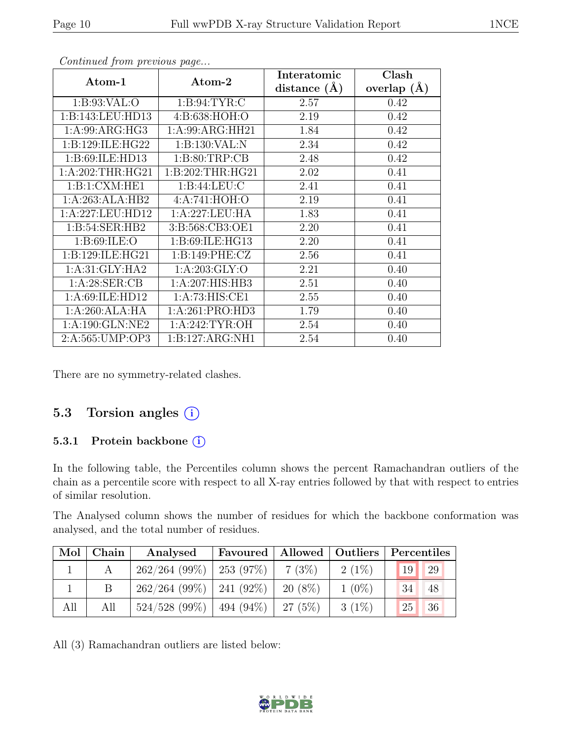| Atom-1                              | Atom-2            | Interatomic<br>distance $(\AA)$ | Clash<br>overlap $(\AA)$ |
|-------------------------------------|-------------------|---------------------------------|--------------------------|
| 1: B:93: VAL:O                      | 1: B:94: TYR: C   | 2.57                            | 0.42                     |
| 1: B: 143: LEU: HD13                | 4:B:638:HOH:O     | 2.19                            | 0.42                     |
| 1:A:99:ARG:HG3                      | 1:A:99:ARG:HH21   | 1.84                            | 0.42                     |
| 1:B:129:ILE:HG22                    | 1:B:130:VAL:N     | 2.34                            | 0.42                     |
| 1:B:69:ILE:HD13                     | 1: B:80:TRP:CB    | 2.48                            | 0.42                     |
| 1: A:202:THR:HG21                   | 1: B:202:THR:HG21 | 2.02                            | 0.41                     |
| 1:B:1:CXM:HE1                       | 1: B:44: LEU: C   | 2.41                            | 0.41                     |
| 1:A:263:ALA:HB2                     | 4:A:741:HOH:O     | 2.19                            | 0.41                     |
| 1:A:227:LEU:HD12                    | 1:A:227:LEU:HA    | 1.83                            | 0.41                     |
| 1: B:54: SER: HB2                   | 3:B:568:CB3:OE1   | 2.20                            | 0.41                     |
| 1: B:69: ILE: O                     | 1:B:69:ILE:HG13   | 2.20                            | 0.41                     |
| 1:B:129:ILE:HG21                    | 1: B:149: PHE: CZ | 2.56                            | 0.41                     |
| 1: A:31: GLY: HA2                   | 1: A:203: GLY:O   | 2.21                            | 0.40                     |
| 1: A:28: SER:CB                     | 1:A:207:HIS:HB3   | 2.51                            | 0.40                     |
| 1:A:69:ILE:HD12                     | 1: A:73: HIS: CE1 | 2.55                            | 0.40                     |
| 1:A:260:ALA:HA                      | 1:A:261:PRO:HD3   | 1.79                            | 0.40                     |
| $1:A:190:GLN:\overline{\text{NE2}}$ | 1: A:242:TYR:OH   | 2.54                            | 0.40                     |
| 2:A:565:UMP:OP3                     | 1:B:127:ARG:NH1   | 2.54                            | 0.40                     |

Continued from previous page...

There are no symmetry-related clashes.

### 5.3 Torsion angles  $(i)$

#### 5.3.1 Protein backbone ①

In the following table, the Percentiles column shows the percent Ramachandran outliers of the chain as a percentile score with respect to all X-ray entries followed by that with respect to entries of similar resolution.

The Analysed column shows the number of residues for which the backbone conformation was analysed, and the total number of residues.

| Mol | ${\bf Chain}$ | Analysed                      |           |          | Favoured   Allowed   Outliers   Percentiles |
|-----|---------------|-------------------------------|-----------|----------|---------------------------------------------|
|     |               | $262/264$ (99\%)   253 (97\%) | 7(3%)     | $2(1\%)$ | 29<br>19                                    |
|     |               | $262/264$ (99\%)   241 (92\%) | $20(8\%)$ | $1(0\%)$ | $\sqrt{34}$<br>48                           |
| All | All           | $524/528$ (99\%)   494 (94\%) | $-27(5%)$ | $3(1\%)$ | 36 <br>25                                   |

All (3) Ramachandran outliers are listed below:

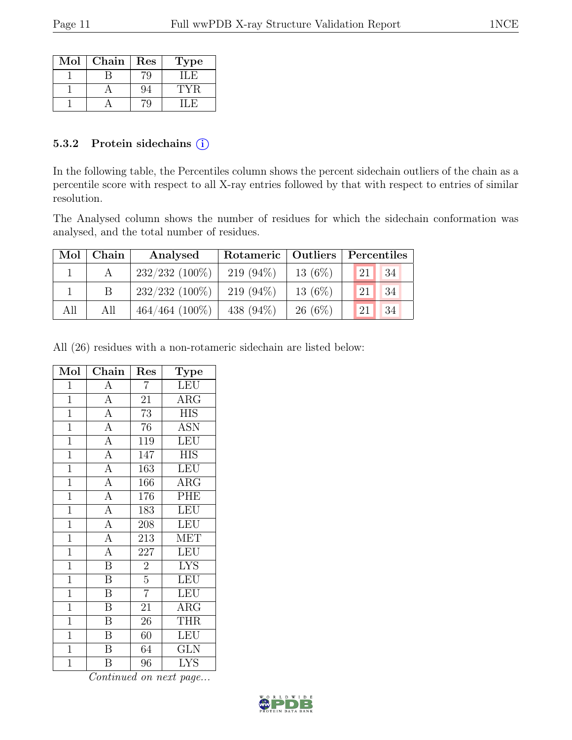| Mol | Chain | Res | Type |
|-----|-------|-----|------|
|     |       |     | л.   |
|     |       |     |      |
|     |       |     |      |

#### 5.3.2 Protein sidechains  $(i)$

In the following table, the Percentiles column shows the percent sidechain outliers of the chain as a percentile score with respect to all X-ray entries followed by that with respect to entries of similar resolution.

The Analysed column shows the number of residues for which the sidechain conformation was analysed, and the total number of residues.

| Mol | Chain | Analysed          | Rotameric   Outliers   Percentiles |           |               |    |  |
|-----|-------|-------------------|------------------------------------|-----------|---------------|----|--|
|     |       | $232/232$ (100\%) | $219(94\%)$                        | $13(6\%)$ | 21            | 34 |  |
|     | B.    | $232/232$ (100%)  | $219(94\%)$                        | $13(6\%)$ | <sup>21</sup> | 34 |  |
| All | All   | $464/464$ (100%)  | 438 $(94\%)$                       | $26(6\%)$ | <sup>21</sup> | 34 |  |

All (26) residues with a non-rotameric sidechain are listed below:

| Mol            | Chain                               | Res              | Type                    |
|----------------|-------------------------------------|------------------|-------------------------|
| $\mathbf{1}$   | А                                   | $\overline{7}$   | LEU                     |
| $\overline{1}$ | $\overline{A}$                      | $\overline{21}$  | $\overline{\text{ARG}}$ |
| $\mathbf{1}$   | $\overline{A}$                      | 73               | <b>HIS</b>              |
| $\overline{1}$ | $\overline{A}$                      | 76               | <b>ASN</b>              |
| $\overline{1}$ | $\overline{A}$                      | 119              | LEU                     |
| $\overline{1}$ | $\overline{A}$                      | $\overline{1}47$ | $\overline{HIS}$        |
| $\overline{1}$ | $\overline{A}$                      | $\overline{163}$ | LEU                     |
| $\mathbf{1}$   | $\overline{A}$                      | 166              | $\rm{ARG}$              |
| $\overline{1}$ | $\overline{A}$                      | 176              | PHE                     |
| $\overline{1}$ | $\frac{\overline{A}}{\overline{A}}$ | 183              | <b>LEU</b>              |
| $\overline{1}$ |                                     | 208              | LEU                     |
| $\overline{1}$ | $\overline{A}$                      | $\overline{213}$ | <b>MET</b>              |
| $\mathbf{1}$   | $\overline{A}$                      | 227              | LEU                     |
| $\overline{1}$ | $\overline{B}$                      | $\overline{2}$   | $\overline{\text{LYS}}$ |
| $\overline{1}$ | $\overline{\mathbf{B}}$             | $\overline{5}$   | <b>LEU</b>              |
| $\overline{1}$ | $\overline{\mathbf{B}}$             | $\overline{7}$   | LEU                     |
| $\overline{1}$ | $\overline{\mathbf{B}}$             | $\overline{21}$  | $\rm{ARG}$              |
| $\mathbf{1}$   | B                                   | 26               | <b>THR</b>              |
| $\overline{1}$ | $\overline{\mathrm{B}}$             | 60               | LEU                     |
| $\overline{1}$ | $\overline{\mathbf{B}}$             | 64               | <b>GLN</b>              |
| $\mathbf 1$    | Β                                   | 96               | <b>LYS</b>              |

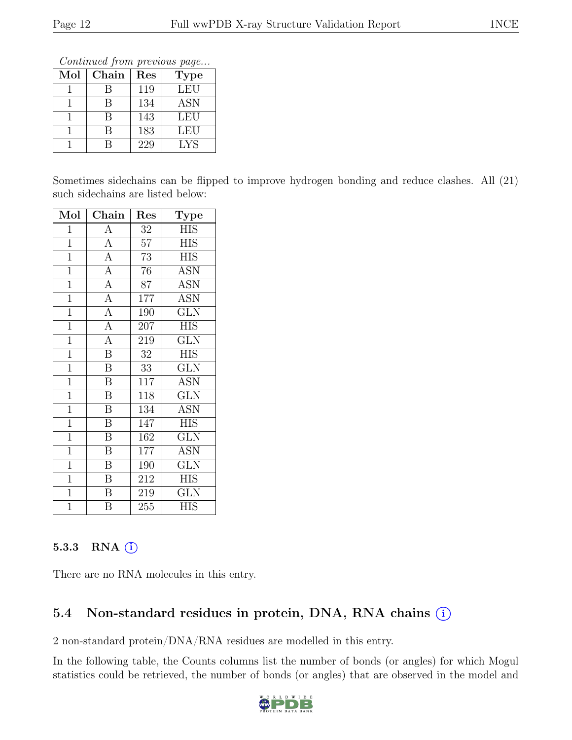Continued from previous page...

| Mol | Chain | Res | <b>Type</b> |
|-----|-------|-----|-------------|
|     |       | 119 | LEU         |
|     |       | 134 | <b>ASN</b>  |
|     |       | 143 | LEU         |
|     |       | 183 | LEU         |
|     |       | 229 | LYS         |

Sometimes sidechains can be flipped to improve hydrogen bonding and reduce clashes. All (21) such sidechains are listed below:

| Mol            | Chain                   | Res              | Type                    |
|----------------|-------------------------|------------------|-------------------------|
| 1              | $\boldsymbol{\rm{A}}$   | $32\,$           | HIS                     |
| $\mathbf{1}$   | $\overline{A}$          | $5\overline{7}$  | <b>HIS</b>              |
| $\mathbf{1}$   | $\overline{A}$          | $\overline{7}3$  | <b>HIS</b>              |
| $\overline{1}$ | $\overline{A}$          | 76               | <b>ASN</b>              |
| $\overline{1}$ | $\overline{A}$          | 87               | <b>ASN</b>              |
| $\overline{1}$ | $\overline{A}$          | 177              | <b>ASN</b>              |
| $\mathbf 1$    | $\overline{A}$          | 190              | $\overline{\text{GLN}}$ |
| $\mathbf{1}$   | $\overline{A}$          | 207              | <b>HIS</b>              |
| $\overline{1}$ | $\overline{A}$          | 219              | $\overline{\text{GLN}}$ |
| $\mathbf{1}$   | $\overline{\mathbf{B}}$ | 32               | <b>HIS</b>              |
| $\overline{1}$ | $\overline{\mathrm{B}}$ | 33               | GLN                     |
| $\mathbf 1$    | $\overline{\mathrm{B}}$ | 117              | <b>ASN</b>              |
| $\overline{1}$ | $\overline{\mathrm{B}}$ | 118              | $\overline{\text{GLN}}$ |
| $\overline{1}$ | $\overline{\mathrm{B}}$ | 134              | $\overline{\text{ASN}}$ |
| $\overline{1}$ | $\overline{\mathrm{B}}$ | 147              | <b>HIS</b>              |
| $\overline{1}$ | $\overline{\mathrm{B}}$ | 162              | $\overline{\text{GLN}}$ |
| $\mathbf{1}$   | $\overline{B}$          | 177              | <b>ASN</b>              |
| $\mathbf{1}$   | $\overline{\mathrm{B}}$ | 190              | GLN                     |
| $\overline{1}$ | $\overline{\mathrm{B}}$ | 212              | HIS                     |
| $\mathbf{1}$   | $\overline{B}$          | 219              | $\overline{\text{GLN}}$ |
| $\overline{1}$ | $\overline{B}$          | $\overline{255}$ | $\overline{\text{HIS}}$ |

### 5.3.3 RNA (i)

There are no RNA molecules in this entry.

## 5.4 Non-standard residues in protein, DNA, RNA chains  $(i)$

2 non-standard protein/DNA/RNA residues are modelled in this entry.

In the following table, the Counts columns list the number of bonds (or angles) for which Mogul statistics could be retrieved, the number of bonds (or angles) that are observed in the model and

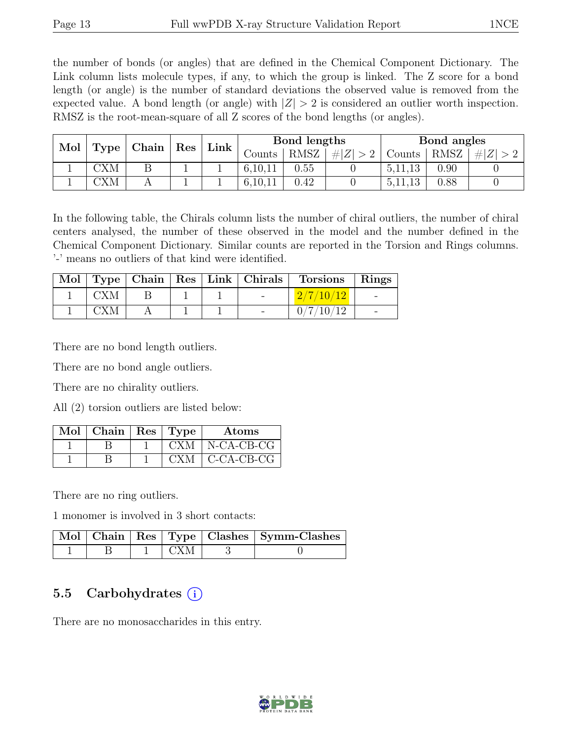the number of bonds (or angles) that are defined in the Chemical Component Dictionary. The Link column lists molecule types, if any, to which the group is linked. The Z score for a bond length (or angle) is the number of standard deviations the observed value is removed from the expected value. A bond length (or angle) with  $|Z| > 2$  is considered an outlier worth inspection. RMSZ is the root-mean-square of all Z scores of the bond lengths (or angles).

| Mol |           | Chain | $\operatorname{Res}$ |             |         | Bond lengths |               |           | Bond angles |     |
|-----|-----------|-------|----------------------|-------------|---------|--------------|---------------|-----------|-------------|-----|
|     | Type      |       |                      | $Link \mid$ | Counts  | RMSZ         | $\# Z $<br>>2 | Counts    | <b>RMSZ</b> | H Z |
|     | CXM       | D     |                      |             | 6,10,11 | 0.55         |               | 5, 11, 13 | 0.90        |     |
|     | $\rm CXM$ |       |                      |             |         | 0.42         |               | 5,11,13   | 0.88        |     |

In the following table, the Chirals column lists the number of chiral outliers, the number of chiral centers analysed, the number of these observed in the model and the number defined in the Chemical Component Dictionary. Similar counts are reported in the Torsion and Rings columns. '-' means no outliers of that kind were identified.

|     |  | Mol   Type   Chain   Res   Link   Chirals | <b>Torsions</b> | Rings |
|-----|--|-------------------------------------------|-----------------|-------|
| CXM |  | and the state of the                      | 2/7/10/12       |       |
|     |  |                                           | 0/7/10/12       |       |

There are no bond length outliers.

There are no bond angle outliers.

There are no chirality outliers.

All (2) torsion outliers are listed below:

| $Mol$   Chain   Res   Type |       | Atoms                |
|----------------------------|-------|----------------------|
|                            | CXM - | N-CA-CB-CG           |
|                            |       | $CXM$   $C-CA-CB-CG$ |

There are no ring outliers.

1 monomer is involved in 3 short contacts:

|  |      | Mol   Chain   Res   Type   Clashes   Symm-Clashes |
|--|------|---------------------------------------------------|
|  | -CXM |                                                   |

### 5.5 Carbohydrates (i)

There are no monosaccharides in this entry.

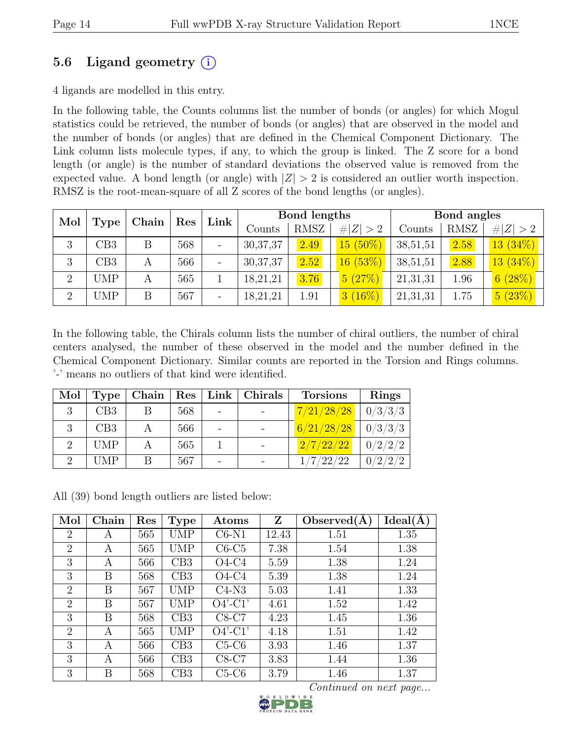### 5.6 Ligand geometry  $(i)$

4 ligands are modelled in this entry.

In the following table, the Counts columns list the number of bonds (or angles) for which Mogul statistics could be retrieved, the number of bonds (or angles) that are observed in the model and the number of bonds (or angles) that are defined in the Chemical Component Dictionary. The Link column lists molecule types, if any, to which the group is linked. The Z score for a bond length (or angle) is the number of standard deviations the observed value is removed from the expected value. A bond length (or angle) with  $|Z| > 2$  is considered an outlier worth inspection. RMSZ is the root-mean-square of all Z scores of the bond lengths (or angles).

| Mol            |                | Chain |     |                          |            |             |             |          |             |             |  |  | Bond lengths |  |  | Bond angles |  |  |
|----------------|----------------|-------|-----|--------------------------|------------|-------------|-------------|----------|-------------|-------------|--|--|--------------|--|--|-------------|--|--|
|                | Type           |       | Res | Link                     | Counts     | <b>RMSZ</b> | # $ Z  > 2$ | Counts   | <b>RMSZ</b> | # $ Z  > 2$ |  |  |              |  |  |             |  |  |
| 3              | $\mathrm{CB}3$ | B     | 568 | $\overline{\phantom{a}}$ | 30, 37, 37 | 2.49        | $15(50\%)$  | 38,51,51 | 2.58        | $13(34\%)$  |  |  |              |  |  |             |  |  |
| 3              | CB3            | А     | 566 | $\overline{\phantom{a}}$ | 30, 37, 37 | 2.52        | 16(53%)     | 38,51,51 | 2.88        | $13(34\%)$  |  |  |              |  |  |             |  |  |
| $\overline{2}$ | <b>UMP</b>     | А     | 565 |                          | 18,21,21   | 3.76        | 5(27%)      | 21,31,31 | 1.96        | 6(28%)      |  |  |              |  |  |             |  |  |
| $\Omega$       | <b>UMP</b>     | B     | 567 | $\overline{\phantom{a}}$ | 18,21,21   | 1.91        | $3(16\%)$   | 21,31,31 | 1.75        | 5(23%)      |  |  |              |  |  |             |  |  |

In the following table, the Chirals column lists the number of chiral outliers, the number of chiral centers analysed, the number of these observed in the model and the number defined in the Chemical Component Dictionary. Similar counts are reported in the Torsion and Rings columns. '-' means no outliers of that kind were identified.

| Mol | <b>Type</b> | Chain |     | Res   Link   Chirals | <b>Torsions</b>        | <b>Rings</b>          |
|-----|-------------|-------|-----|----------------------|------------------------|-----------------------|
| 3   | CB3         |       | 568 |                      | 7/21/28/28             | 0/3/3/3               |
|     | CB3         |       | 566 |                      | $6/21/28/28$   0/3/3/3 |                       |
|     | <b>UMP</b>  |       | 565 |                      | 2/7/22/22              | 0/2/2/2               |
|     | <b>UMP</b>  |       | 567 |                      | $\langle 22/22$        | /2/2<br>$\mathcal{D}$ |

All (39) bond length outliers are listed below:

| Mol            | Chain | Res | <b>Type</b> | Atoms      | Z     | Observed(A) | Ideal(A) |
|----------------|-------|-----|-------------|------------|-------|-------------|----------|
| $\overline{2}$ | A     | 565 | <b>UMP</b>  | $C6-N1$    | 12.43 | 1.51        | 1.35     |
| $\overline{2}$ | A     | 565 | <b>UMP</b>  | $C6-C5$    | 7.38  | 1.54        | 1.38     |
| 3              | A     | 566 | CB3         | $O4-C4$    | 5.59  | 1.38        | 1.24     |
| 3              | Β     | 568 | CB3         | $O4-C4$    | 5.39  | 1.38        | 1.24     |
| $\overline{2}$ | В     | 567 | UMP         | $C4-N3$    | 5.03  | 1.41        | 1.33     |
| $\overline{2}$ | В     | 567 | UMP         | $O4'$ -C1' | 4.61  | 1.52        | 1.42     |
| 3              | В     | 568 | CB3         | $C8-C7$    | 4.23  | 1.45        | 1.36     |
| $\overline{2}$ | А     | 565 | UMP         | $O4'$ -C1' | 4.18  | 1.51        | 1.42     |
| 3              | А     | 566 | CB3         | $C5-C6$    | 3.93  | 1.46        | 1.37     |
| 3              | A     | 566 | CB3         | $C8-C7$    | 3.83  | 1.44        | 1.36     |
| 3              | Β     | 568 | CB3         | $C5-C6$    | 3.79  | 1.46        | 1.37     |

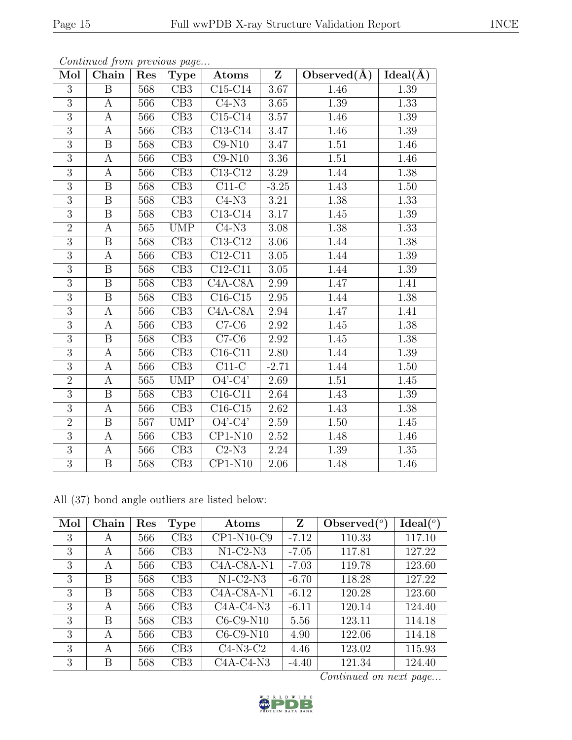| Mol            | Chain                   | Res | <b>Type</b>      | Atoms                             | $\mathbf{Z}$      | Observed $(A)$ | $Ideal(\AA)$ |
|----------------|-------------------------|-----|------------------|-----------------------------------|-------------------|----------------|--------------|
| $\overline{3}$ | $\overline{\mathrm{B}}$ | 568 | $\overline{CB3}$ | $\overline{\text{C15-C14}}$       | 3.67              | 1.46           | 1.39         |
| 3              | $\boldsymbol{A}$        | 566 | CB3              | $C4-N3$                           | 3.65              | 1.39           | 1.33         |
| $\overline{3}$ | $\overline{A}$          | 566 | $\overline{CB3}$ | $C15-C14$                         | $\overline{3.57}$ | 1.46           | 1.39         |
| 3              | A                       | 566 | CB3              | $C13-C14$                         | 3.47              | 1.46           | 1.39         |
| 3              | $\boldsymbol{B}$        | 568 | CB3              | $C9-N10$                          | 3.47              | 1.51           | 1.46         |
| $\overline{3}$ | $\boldsymbol{A}$        | 566 | $\overline{CB3}$ | $C9-N10$                          | 3.36              | 1.51           | 1.46         |
| $\overline{3}$ | $\boldsymbol{A}$        | 566 | CB3              | $C13-C12$                         | 3.29              | 1.44           | 1.38         |
| $\overline{3}$ | $\overline{\mathrm{B}}$ | 568 | $\overline{CB3}$ | $\overline{\text{C}11\text{-C}}$  | $-3.25$           | 1.43           | 1.50         |
| $\overline{3}$ | $\mathbf{B}$            | 568 | CB3              | $\overline{C}$ 4-N3               | 3.21              | 1.38           | 1.33         |
| $\overline{3}$ | $\overline{\mathrm{B}}$ | 568 | $\overline{CB3}$ | $C13-C14$                         | 3.17              | 1.45           | 1.39         |
| $\overline{2}$ | A                       | 565 | UMP              | $C4-N3$                           | 3.08              | 1.38           | 1.33         |
| $\overline{3}$ | $\boldsymbol{B}$        | 568 | CB3              | C13-C12                           | 3.06              | 1.44           | 1.38         |
| $\overline{3}$ | A                       | 566 | CB3              | $C12-C11$                         | 3.05              | 1.44           | 1.39         |
| 3              | B                       | 568 | CB3              | $C12-C11$                         | 3.05              | 1.44           | 1.39         |
| $\overline{3}$ | $\overline{\mathrm{B}}$ | 568 | $\overline{CB3}$ | $C4A-C8A$                         | 2.99              | 1.47           | 1.41         |
| $\overline{3}$ | B                       | 568 | CB3              | $C16-C15$                         | 2.95              | 1.44           | 1.38         |
| $\overline{3}$ | $\boldsymbol{A}$        | 566 | CB3              | C <sub>4</sub> A-C <sub>8</sub> A | 2.94              | 1.47           | 1.41         |
| $\overline{3}$ | $\overline{A}$          | 566 | $\overline{CB3}$ | $C7-C6$                           | 2.92              | 1.45           | 1.38         |
| $\overline{3}$ | $\overline{B}$          | 568 | CB3              | $\overline{C7-C6}$                | 2.92              | 1.45           | 1.38         |
| $\overline{3}$ | $\boldsymbol{A}$        | 566 | CB3              | $C16-C11$                         | 2.80              | 1.44           | 1.39         |
| $\overline{3}$ | A                       | 566 | CB3              | $C11-C$                           | $-2.71$           | 1.44           | 1.50         |
| $\overline{2}$ | $\mathbf{A}$            | 565 | <b>UMP</b>       | $O4'-C4'$                         | 2.69              | 1.51           | 1.45         |
| $\overline{3}$ | $\boldsymbol{B}$        | 568 | CB3              | $C16-C11$                         | 2.64              | 1.43           | 1.39         |
| $\overline{3}$ | $\boldsymbol{A}$        | 566 | CB3              | $C16-C15$                         | 2.62              | 1.43           | 1.38         |
| $\overline{2}$ | $\overline{\mathbf{B}}$ | 567 | UMP              | $\overline{O4'$ - $C4'$           | 2.59              | 1.50           | 1.45         |
| $\overline{3}$ | A                       | 566 | CB3              | $CP1-N10$                         | $2.52\,$          | 1.48           | 1.46         |
| $\overline{3}$ | $\overline{A}$          | 566 | $\overline{CB3}$ | $\overline{\text{C2-}}\text{N3}$  | 2.24              | 1.39           | 1.35         |
| $\overline{3}$ | $\overline{B}$          | 568 | CB3              | $\overline{\text{CP1-N10}}$       | 2.06              | 1.48           | 1.46         |

Continued from previous page...

All (37) bond angle outliers are listed below:

| Mol | Chain | Res | <b>Type</b> | Atoms                          | Z       | Observed $(°)$ | Ideal $({}^{\circ})$ |
|-----|-------|-----|-------------|--------------------------------|---------|----------------|----------------------|
| 3   | A     | 566 | CB3         | CP1-N10-C9                     | $-7.12$ | 110.33         | 117.10               |
| 3   | А     | 566 | CB3         | $N1-C2-N3$                     | $-7.05$ | 117.81         | 127.22               |
| 3   | A     | 566 | CB3         | $C4A-C8A-N1$                   | $-7.03$ | 119.78         | 123.60               |
| 3   | В     | 568 | CB3         | $N1-C2-N3$                     | $-6.70$ | 118.28         | 127.22               |
| 3   | Β     | 568 | CB3         | $C4A-C8A-N1$                   | $-6.12$ | 120.28         | 123.60               |
| 3   | А     | 566 | CB3         | $C4A-C4-N3$                    | $-6.11$ | 120.14         | 124.40               |
| 3   | В     | 568 | CB3         | $\overline{\text{C6}}$ -C9-N10 | 5.56    | 123.11         | 114.18               |
| 3   | А     | 566 | CB3         | $C6-C9-N10$                    | 4.90    | 122.06         | 114.18               |
| 3   | А     | 566 | CB3         | $C4-N3-C2$                     | 4.46    | 123.02         | 115.93               |
| 3   | В     | 568 | CB3         | $C4A-C4-N3$                    | $-4.40$ | 121.34         | 124.40               |

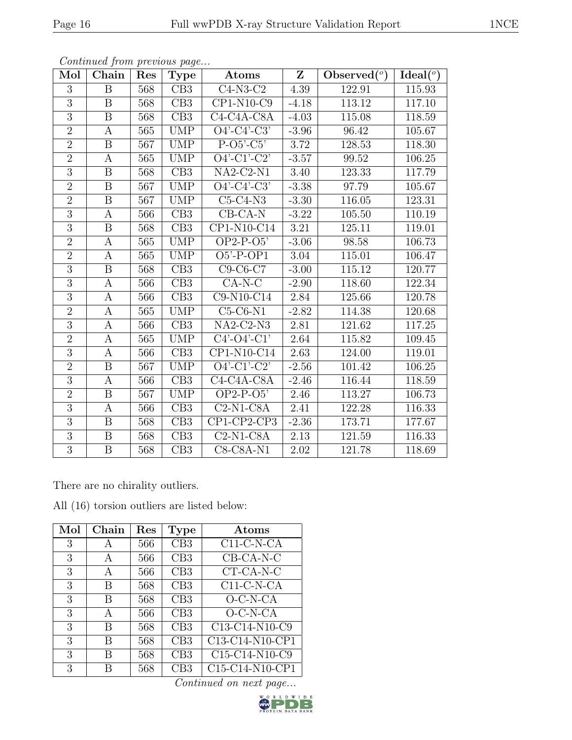| Mol            | Chain                   | Res | <b>Type</b>      | Atoms                            | $\mathbf{Z}$ | Observed $(°)$ | Ideal $(°)$ |
|----------------|-------------------------|-----|------------------|----------------------------------|--------------|----------------|-------------|
| 3              | $\boldsymbol{B}$        | 568 | CB3              | $C4-N3-C2$                       | 4.39         | 122.91         | 115.93      |
| $\overline{3}$ | B                       | 568 | CB3              | CP1-N10-C9                       | $-4.18$      | 113.12         | 117.10      |
| $\overline{3}$ | $\boldsymbol{B}$        | 568 | CB3              | $C4-C4A-C8A$                     | $-4.03$      | 115.08         | 118.59      |
| $\overline{2}$ | А                       | 565 | <b>UMP</b>       | $O4'$ -C4'-C3'                   | $-3.96$      | 96.42          | 105.67      |
| $\overline{2}$ | B                       | 567 | <b>UMP</b>       | $P-O5-C5$                        | 3.72         | 128.53         | 118.30      |
| $\overline{2}$ | $\boldsymbol{A}$        | 565 | <b>UMP</b>       | $O4'$ -C1'-C2'                   | $-3.57$      | 99.52          | 106.25      |
| $\overline{3}$ | $\boldsymbol{B}$        | 568 | CB3              | $NA2-C2-N1$                      | 3.40         | 123.33         | 117.79      |
| $\overline{2}$ | $\boldsymbol{B}$        | 567 | <b>UMP</b>       | $O4' - C4' - C3'$                | $-3.38$      | 97.79          | 105.67      |
| $\overline{2}$ | B                       | 567 | <b>UMP</b>       | $C5-C4-N3$                       | $-3.30$      | 116.05         | 123.31      |
| $\overline{3}$ | $\boldsymbol{A}$        | 566 | CB3              | $CB$ -CA-N                       | $-3.22$      | 105.50         | 110.19      |
| 3              | B                       | 568 | CB3              | CP1-N10-C14                      | 3.21         | 125.11         | 119.01      |
| $\overline{2}$ | $\boldsymbol{A}$        | 565 | <b>UMP</b>       | $OP2-P-O5'$                      | $-3.06$      | 98.58          | 106.73      |
| $\overline{2}$ | $\mathbf{A}$            | 565 | <b>UMP</b>       | $O5'$ -P-OP1                     | 3.04         | 115.01         | 106.47      |
| 3              | B                       | 568 | CB3              | $C9-C6-C7$                       | $-3.00$      | 115.12         | 120.77      |
| $\overline{3}$ | $\boldsymbol{A}$        | 566 | CB3              | $CA-N-C$                         | $-2.90$      | 118.60         | 122.34      |
| $\overline{3}$ | $\mathbf{A}$            | 566 | CB3              | C9-N10-C14                       | 2.84         | 125.66         | 120.78      |
| $\overline{2}$ | A                       | 565 | <b>UMP</b>       | $C5-C6-N1$                       | $-2.82$      | 114.38         | 120.68      |
| 3              | $\boldsymbol{A}$        | 566 | CB3              | $NA2-C2-N3$                      | 2.81         | 121.62         | 117.25      |
| $\sqrt{2}$     | $\mathbf{A}$            | 565 | <b>UMP</b>       | $C4'-C4'-C1'$                    | 2.64         | 115.82         | 109.45      |
| $\overline{3}$ | A                       | 566 | CB3              | $\overline{\text{CP1-N}}$ 10-C14 | 2.63         | 124.00         | 119.01      |
| $\overline{2}$ | $\boldsymbol{B}$        | 567 | <b>UMP</b>       | $O4'-C1'-C2'$                    | $-2.56$      | 101.42         | 106.25      |
| $\overline{3}$ | $\overline{A}$          | 566 | $\overline{CB3}$ | $C4-C4A-C8A$                     | $-2.46$      | 116.44         | 118.59      |
| $\overline{2}$ | B                       | 567 | <b>UMP</b>       | $OP2-P-O5'$                      | 2.46         | 113.27         | 106.73      |
| $\overline{3}$ | $\mathbf{A}$            | 566 | CB3              | $C2-N1-C8A$                      | 2.41         | 122.28         | 116.33      |
| $\overline{3}$ | $\boldsymbol{B}$        | 568 | CB3              | CP1-CP2-CP3                      | $-2.36$      | 173.71         | 177.67      |
| $\overline{3}$ | $\boldsymbol{B}$        | 568 | CB3              | $C2-N1-C8A$                      | 2.13         | 121.59         | 116.33      |
| $\overline{3}$ | $\overline{\mathbf{B}}$ | 568 | CB3              | $C8-C8A-N1$                      | 2.02         | 121.78         | 118.69      |

Continued from previous page...

There are no chirality outliers.

All (16) torsion outliers are listed below:

| Mol | Chain | Res | Type | Atoms                               |
|-----|-------|-----|------|-------------------------------------|
| 3   | А     | 566 | CB3  | $C11-C-N-CA$                        |
| 3   | A     | 566 | CB3  | $\overline{CB}$ -CA-N-C             |
| 3   | A     | 566 | CB3  | CT-CA-N-C                           |
| 3   | В     | 568 | CB3  | $C11-C-N-CA$                        |
| 3   | В     | 568 | CB3  | $O-C-N-CA$                          |
| 3   | A     | 566 | CB3  | $O-C-N-CA$                          |
| 3   | В     | 568 | CB3  | $\overline{\text{C13}}$ -C14-N10-C9 |
| 3   | В     | 568 | CB3  | C13-C14-N10-CP1                     |
| 3   | В     | 568 | CB3  | C15-C14-N10-C9                      |
| 3   | B     | 568 | CB3  | C15-C14-N10-CP1                     |

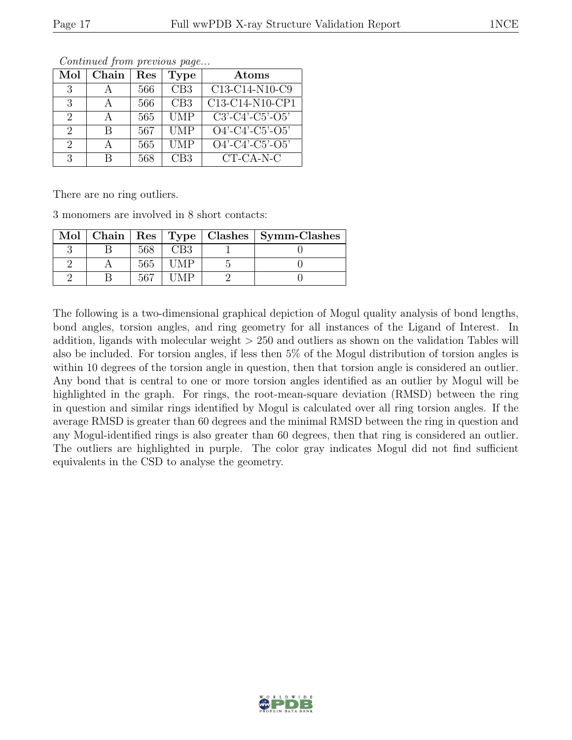| Mol                         | Chain | $\operatorname{Res}% \left( \mathcal{N}\right) \equiv\operatorname{Res}(\mathcal{N}_{0},\mathcal{N}_{0})$ | <b>Type</b> | Atoms              |
|-----------------------------|-------|-----------------------------------------------------------------------------------------------------------|-------------|--------------------|
| 3                           |       | 566                                                                                                       | CB3         | C13-C14-N10-C9     |
| 3                           |       | 566                                                                                                       | CB3         | C13-C14-N10-CP1    |
| $\mathcal{D}_{\mathcal{L}}$ |       | 565                                                                                                       | <b>UMP</b>  | $C3'-C4'-C5'-O5'$  |
| $\mathcal{D}_{\mathcal{L}}$ | В     | 567                                                                                                       | <b>UMP</b>  | $O4'$ -C4'-C5'-O5' |
| $\mathcal{D}_{\mathcal{L}}$ | А     | 565                                                                                                       | UMP         | $O4'$ -C4'-C5'-O5' |
| 3                           | R     | 568                                                                                                       | CB3         | CT-CA-N-C          |

Continued from previous page...

There are no ring outliers.

3 monomers are involved in 8 short contacts:

|  |      |        | Mol   Chain   Res   Type   Clashes   Symm-Clashes |
|--|------|--------|---------------------------------------------------|
|  | 568  | CB3    |                                                   |
|  | -565 | $+1MP$ |                                                   |
|  | 567  |        |                                                   |

The following is a two-dimensional graphical depiction of Mogul quality analysis of bond lengths, bond angles, torsion angles, and ring geometry for all instances of the Ligand of Interest. In addition, ligands with molecular weight > 250 and outliers as shown on the validation Tables will also be included. For torsion angles, if less then 5% of the Mogul distribution of torsion angles is within 10 degrees of the torsion angle in question, then that torsion angle is considered an outlier. Any bond that is central to one or more torsion angles identified as an outlier by Mogul will be highlighted in the graph. For rings, the root-mean-square deviation (RMSD) between the ring in question and similar rings identified by Mogul is calculated over all ring torsion angles. If the average RMSD is greater than 60 degrees and the minimal RMSD between the ring in question and any Mogul-identified rings is also greater than 60 degrees, then that ring is considered an outlier. The outliers are highlighted in purple. The color gray indicates Mogul did not find sufficient equivalents in the CSD to analyse the geometry.

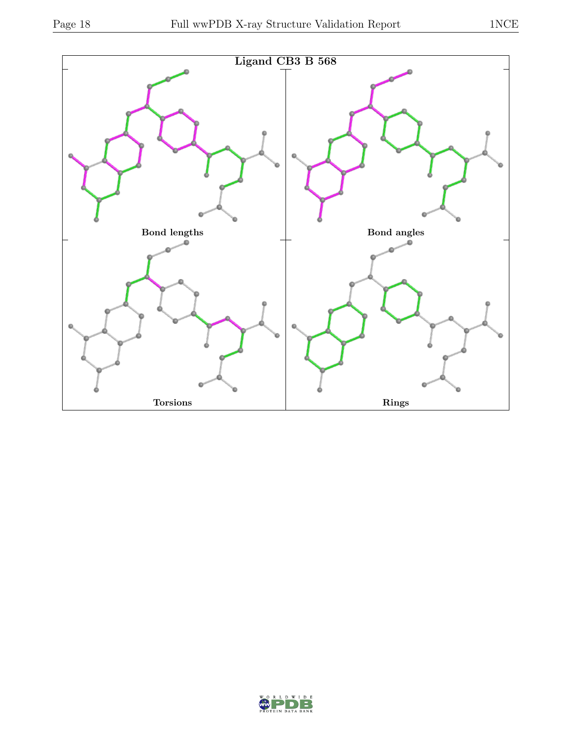

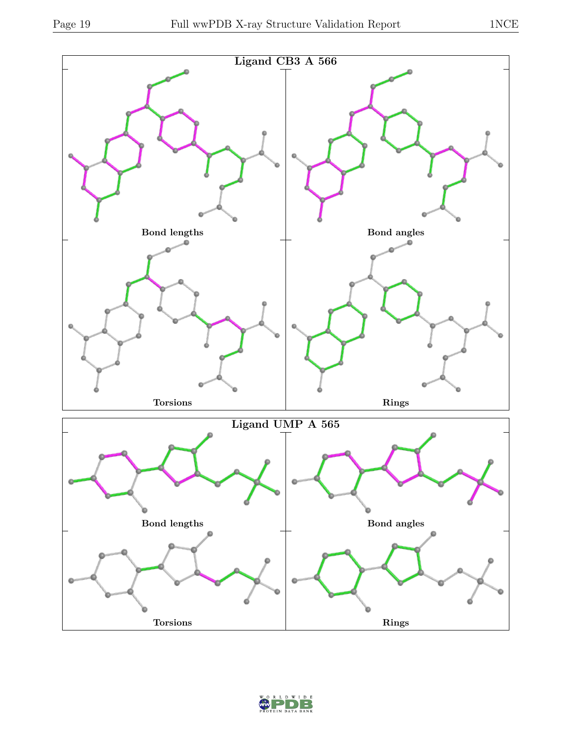

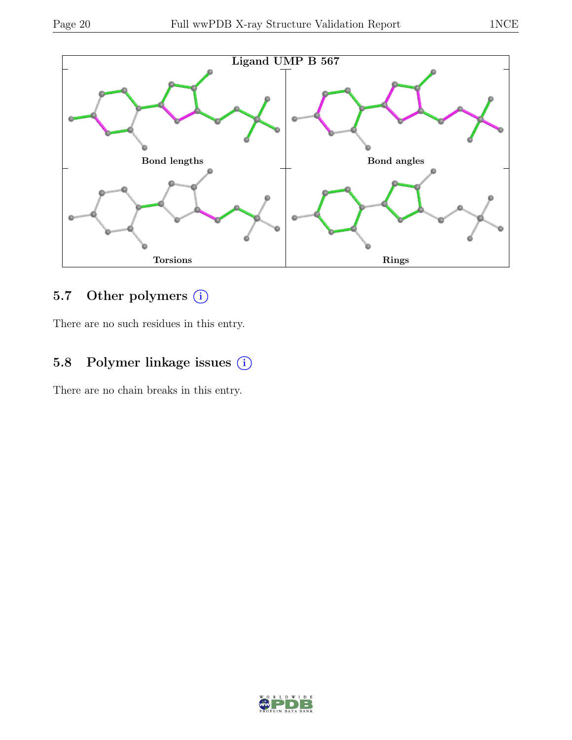

## 5.7 Other polymers (i)

There are no such residues in this entry.

## 5.8 Polymer linkage issues  $(i)$

There are no chain breaks in this entry.